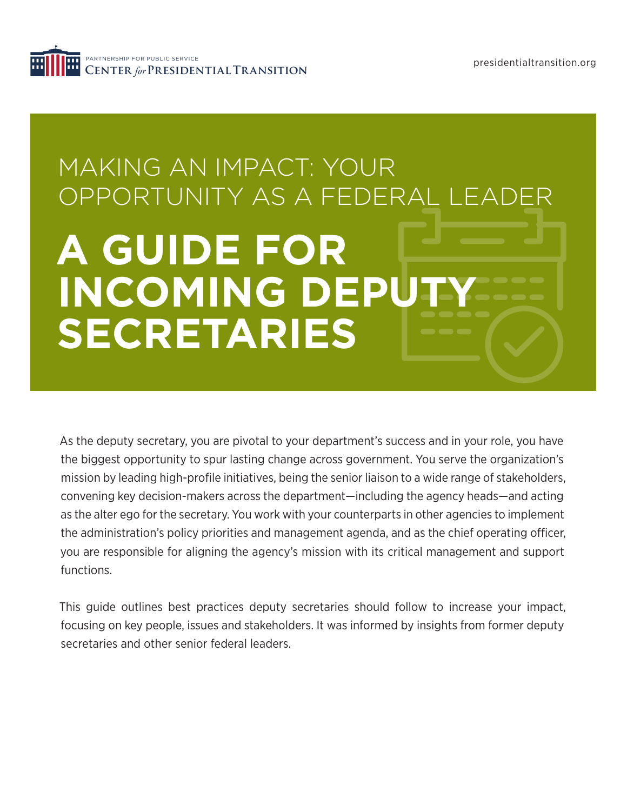

# **A GUIDE FOR INCOMING DEPUT SECRETARIES** MAKING AN IMPACT: YOUR OPPORTUNITY AS A FEDERAL LEADER

As the deputy secretary, you are pivotal to your department's success and in your role, you have the biggest opportunity to spur lasting change across government. You serve the organization's mission by leading high-profile initiatives, being the senior liaison to a wide range of stakeholders, convening key decision-makers across the department—including the agency heads—and acting as the alter ego for the secretary. You work with your counterparts in other agencies to implement the administration's policy priorities and management agenda, and as the chief operating officer, you are responsible for aligning the agency's mission with its critical management and support functions.

This guide outlines best practices deputy secretaries should follow to increase your impact, focusing on key people, issues and stakeholders. It was informed by insights from former deputy secretaries and other senior federal leaders.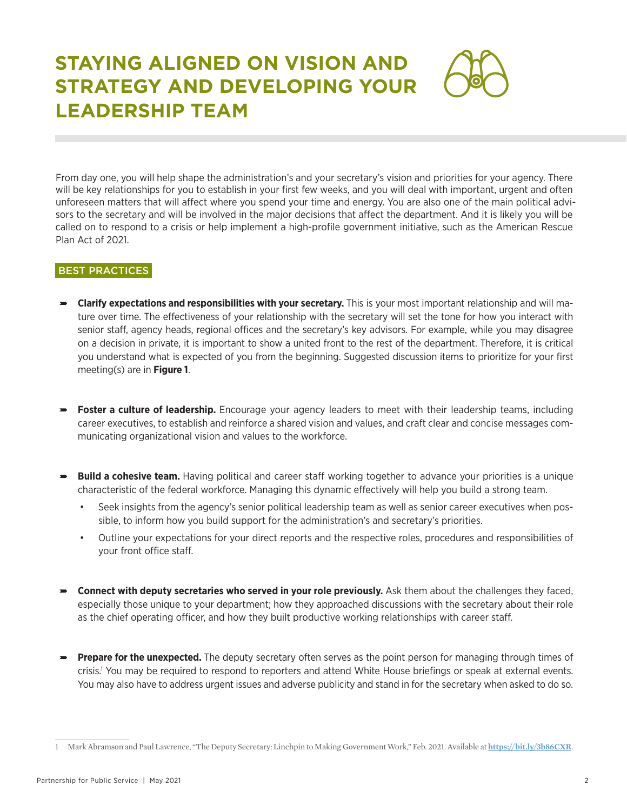# **STAYING ALIGNED ON VISION AND STRATEGY AND DEVELOPING YOUR LEADERSHIP TEAM**

From day one, you will help shape the administration's and your secretary's vision and priorities for your agency. There will be key relationships for you to establish in your first few weeks, and you will deal with important, urgent and often unforeseen matters that will affect where you spend your time and energy. You are also one of the main political advisors to the secretary and will be involved in the major decisions that affect the department. And it is likely you will be called on to respond to a crisis or help implement a high-profile government initiative, such as the American Rescue Plan Act of 2021.

### BEST PRACTICES

- ɚ **Clarify expectations and responsibilities with your secretary.** This is your most important relationship and will mature over time. The effectiveness of your relationship with the secretary will set the tone for how you interact with senior staff, agency heads, regional offices and the secretary's key advisors. For example, while you may disagree on a decision in private, it is important to show a united front to the rest of the department. Therefore, it is critical you understand what is expected of you from the beginning. Suggested discussion items to prioritize for your first meeting(s) are in **Figure 1**.
- ɚ **Foster a culture of leadership.** Encourage your agency leaders to meet with their leadership teams, including career executives, to establish and reinforce a shared vision and values, and craft clear and concise messages communicating organizational vision and values to the workforce.
- ɚ **Build a cohesive team.** Having political and career staff working together to advance your priorities is a unique characteristic of the federal workforce. Managing this dynamic effectively will help you build a strong team.
	- Seek insights from the agency's senior political leadership team as well as senior career executives when possible, to inform how you build support for the administration's and secretary's priorities.
	- Outline your expectations for your direct reports and the respective roles, procedures and responsibilities of your front office staff.
- ɚ **Connect with deputy secretaries who served in your role previously.** Ask them about the challenges they faced, especially those unique to your department; how they approached discussions with the secretary about their role as the chief operating officer, and how they built productive working relationships with career staff.
- ɚ **Prepare for the unexpected.** The deputy secretary often serves as the point person for managing through times of crisis.1 You may be required to respond to reporters and attend White House briefings or speak at external events. You may also have to address urgent issues and adverse publicity and stand in for the secretary when asked to do so.

<sup>1</sup> Mark Abramson and Paul Lawrence, "The Deputy Secretary: Linchpin to Making Government Work," Feb. 2021. Available at **<https://bit.ly/3b86CXR>**.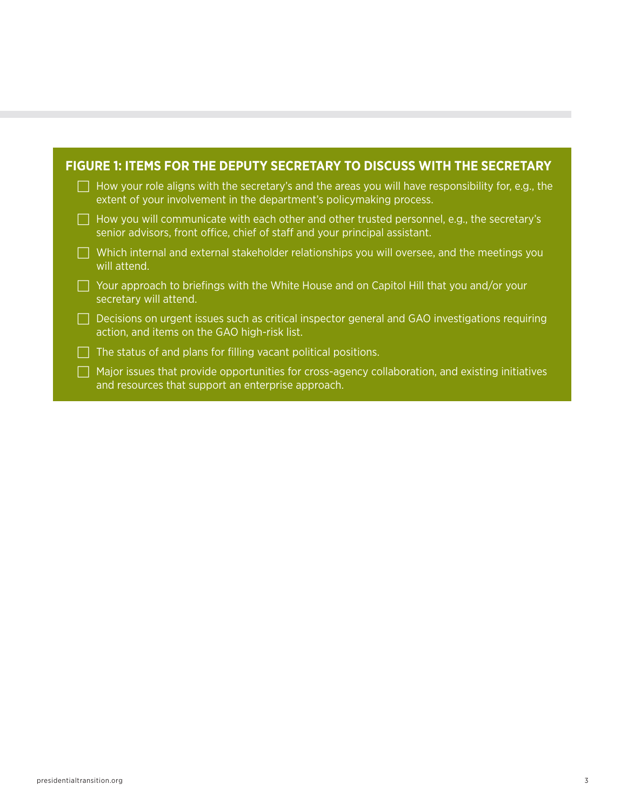| FIGURE 1: ITEMS FOR THE DEPUTY SECRETARY TO DISCUSS WITH THE SECRETARY |                                                                                                                                                                             |  |  |
|------------------------------------------------------------------------|-----------------------------------------------------------------------------------------------------------------------------------------------------------------------------|--|--|
|                                                                        | How your role aligns with the secretary's and the areas you will have responsibility for, e.g., the<br>extent of your involvement in the department's policymaking process. |  |  |
|                                                                        | How you will communicate with each other and other trusted personnel, e.g., the secretary's<br>senior advisors, front office, chief of staff and your principal assistant.  |  |  |
|                                                                        | Which internal and external stakeholder relationships you will oversee, and the meetings you<br>will attend.                                                                |  |  |
|                                                                        | Your approach to briefings with the White House and on Capitol Hill that you and/or your<br>secretary will attend.                                                          |  |  |
|                                                                        | Decisions on urgent issues such as critical inspector general and GAO investigations requiring<br>action, and items on the GAO high-risk list.                              |  |  |
|                                                                        | The status of and plans for filling vacant political positions.                                                                                                             |  |  |
|                                                                        | Major issues that provide opportunities for cross-agency collaboration, and existing initiatives<br>and resources that support an enterprise approach.                      |  |  |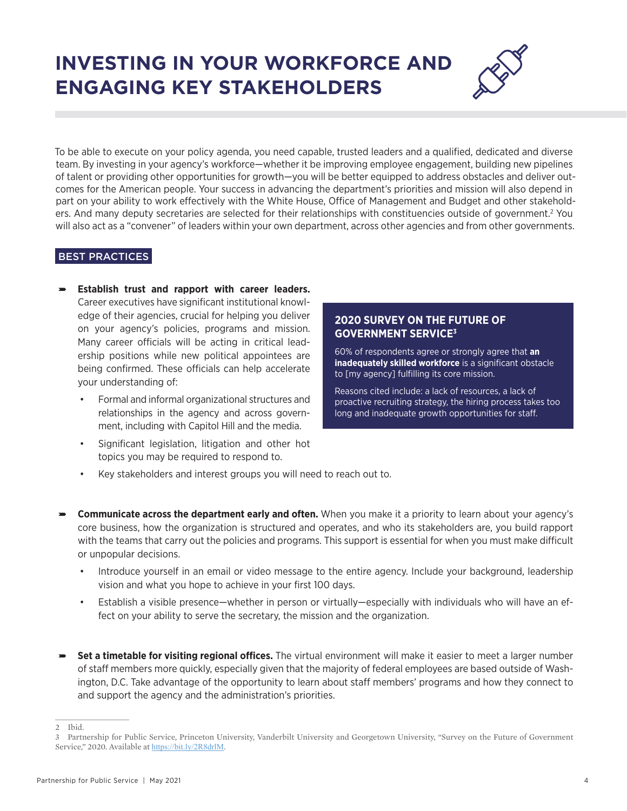# **INVESTING IN YOUR WORKFORCE AND ENGAGING KEY STAKEHOLDERS**



To be able to execute on your policy agenda, you need capable, trusted leaders and a qualified, dedicated and diverse team. By investing in your agency's workforce—whether it be improving employee engagement, building new pipelines of talent or providing other opportunities for growth—you will be better equipped to address obstacles and deliver outcomes for the American people. Your success in advancing the department's priorities and mission will also depend in part on your ability to work effectively with the White House, Office of Management and Budget and other stakeholders. And many deputy secretaries are selected for their relationships with constituencies outside of government.<sup>2</sup> You will also act as a "convener" of leaders within your own department, across other agencies and from other governments.

# BEST PRACTICES

- ɚ **Establish trust and rapport with career leaders.** Career executives have significant institutional knowledge of their agencies, crucial for helping you deliver on your agency's policies, programs and mission. Many career officials will be acting in critical leadership positions while new political appointees are being confirmed. These officials can help accelerate your understanding of:
	- Formal and informal organizational structures and relationships in the agency and across government, including with Capitol Hill and the media.
	- Significant legislation, litigation and other hot topics you may be required to respond to.

### **2020 SURVEY ON THE FUTURE OF GOVERNMENT SERVICE3**

60% of respondents agree or strongly agree that **an inadequately skilled workforce** is a significant obstacle to [my agency] fulfilling its core mission.

Reasons cited include: a lack of resources, a lack of proactive recruiting strategy, the hiring process takes too long and inadequate growth opportunities for staff.

- Key stakeholders and interest groups you will need to reach out to.
- ɚ **Communicate across the department early and often.** When you make it a priority to learn about your agency's core business, how the organization is structured and operates, and who its stakeholders are, you build rapport with the teams that carry out the policies and programs. This support is essential for when you must make difficult or unpopular decisions.
	- Introduce yourself in an email or video message to the entire agency. Include your background, leadership vision and what you hope to achieve in your first 100 days.
	- Establish a visible presence—whether in person or virtually—especially with individuals who will have an effect on your ability to serve the secretary, the mission and the organization.
- ɚ **Set a timetable for visiting regional offices.** The virtual environment will make it easier to meet a larger number of staff members more quickly, especially given that the majority of federal employees are based outside of Washington, D.C. Take advantage of the opportunity to learn about staff members' programs and how they connect to and support the agency and the administration's priorities.

<sup>2</sup> Ibid.

<sup>3</sup> Partnership for Public Service, Princeton University, Vanderbilt University and Georgetown University, "Survey on the Future of Government Service," 2020. Available at <https://bit.ly/2R8drlM>.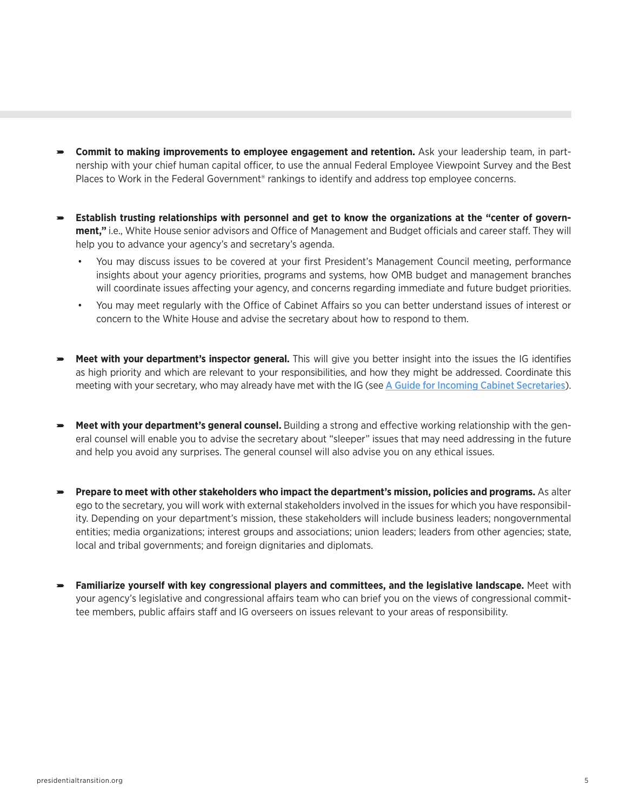- ɚ **Commit to making improvements to employee engagement and retention.** Ask your leadership team, in partnership with your chief human capital officer, to use the annual Federal Employee Viewpoint Survey and the Best Places to Work in the Federal Government<sup>®</sup> rankings to identify and address top employee concerns.
- ɚ **Establish trusting relationships with personnel and get to know the organizations at the "center of government,"** i.e., White House senior advisors and Office of Management and Budget officials and career staff. They will help you to advance your agency's and secretary's agenda.
	- You may discuss issues to be covered at your first President's Management Council meeting, performance insights about your agency priorities, programs and systems, how OMB budget and management branches will coordinate issues affecting your agency, and concerns regarding immediate and future budget priorities.
	- You may meet regularly with the Office of Cabinet Affairs so you can better understand issues of interest or concern to the White House and advise the secretary about how to respond to them.
- ɚ **Meet with your department's inspector general.** This will give you better insight into the issues the IG identifies as high priority and which are relevant to your responsibilities, and how they might be addressed. Coordinate this meeting with your secretary, who may already have met with the IG (see [A Guide for Incoming Cabinet Secretaries](https://presidentialtransition.org/publications/guide-for-incoming-cabinet-secretaries/)).
- ɚ **Meet with your department's general counsel.** Building a strong and effective working relationship with the general counsel will enable you to advise the secretary about "sleeper" issues that may need addressing in the future and help you avoid any surprises. The general counsel will also advise you on any ethical issues.
- **Prepare to meet with other stakeholders who impact the department's mission, policies and programs.** As alter ego to the secretary, you will work with external stakeholders involved in the issues for which you have responsibility. Depending on your department's mission, these stakeholders will include business leaders; nongovernmental entities; media organizations; interest groups and associations; union leaders; leaders from other agencies; state, local and tribal governments; and foreign dignitaries and diplomats.
- ɚ **Familiarize yourself with key congressional players and committees, and the legislative landscape.** Meet with your agency's legislative and congressional affairs team who can brief you on the views of congressional committee members, public affairs staff and IG overseers on issues relevant to your areas of responsibility.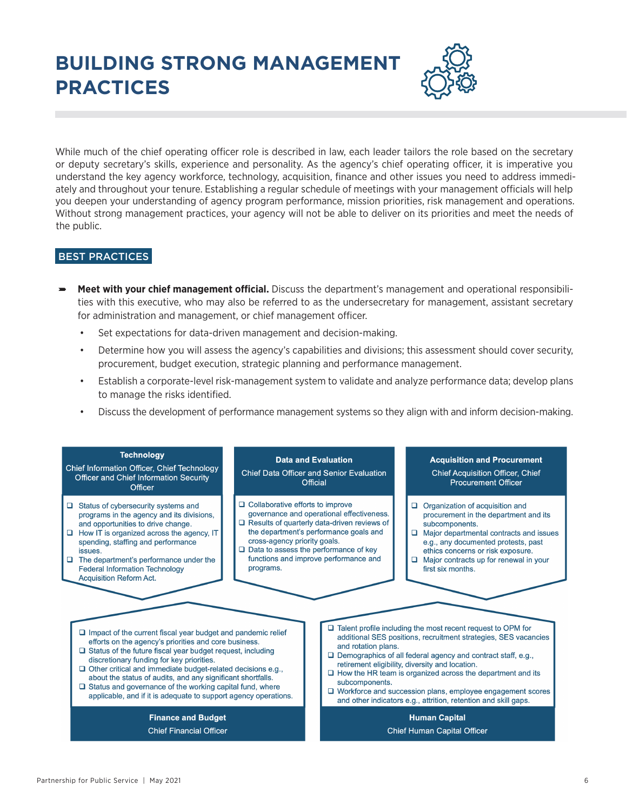# **BUILDING STRONG MANAGEMENT PRACTICES**



While much of the chief operating officer role is described in law, each leader tailors the role based on the secretary or deputy secretary's skills, experience and personality. As the agency's chief operating officer, it is imperative you understand the key agency workforce, technology, acquisition, finance and other issues you need to address immediately and throughout your tenure. Establishing a regular schedule of meetings with your management officials will help you deepen your understanding of agency program performance, mission priorities, risk management and operations. Without strong management practices, your agency will not be able to deliver on its priorities and meet the needs of the public.

# BEST PRACTICES

- ɚ **Meet with your chief management official.** Discuss the department's management and operational responsibilities with this executive, who may also be referred to as the undersecretary for management, assistant secretary for administration and management, or chief management officer.
	- Set expectations for data-driven management and decision-making.
	- Determine how you will assess the agency's capabilities and divisions; this assessment should cover security, procurement, budget execution, strategic planning and performance management.
	- Establish a corporate-level risk-management system to validate and analyze performance data; develop plans to manage the risks identified.
	- Discuss the development of performance management systems so they align with and inform decision-making.

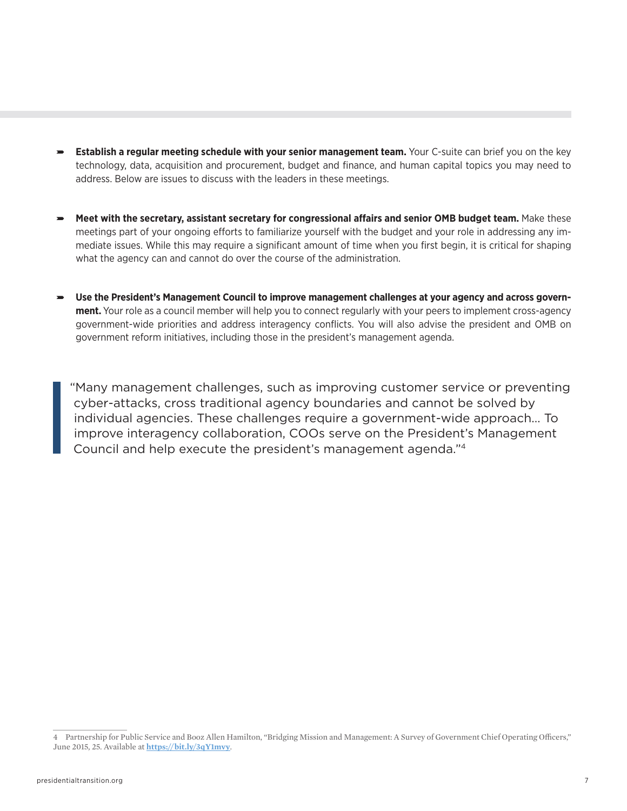- ɚ **Establish a regular meeting schedule with your senior management team.** Your C-suite can brief you on the key technology, data, acquisition and procurement, budget and finance, and human capital topics you may need to address. Below are issues to discuss with the leaders in these meetings.
- ɚ **Meet with the secretary, assistant secretary for congressional affairs and senior OMB budget team.** Make these meetings part of your ongoing efforts to familiarize yourself with the budget and your role in addressing any immediate issues. While this may require a significant amount of time when you first begin, it is critical for shaping what the agency can and cannot do over the course of the administration.
- ɚ **Use the President's Management Council to improve management challenges at your agency and across government.** Your role as a council member will help you to connect regularly with your peers to implement cross-agency government-wide priorities and address interagency conflicts. You will also advise the president and OMB on government reform initiatives, including those in the president's management agenda.

"Many management challenges, such as improving customer service or preventing cyber-attacks, cross traditional agency boundaries and cannot be solved by individual agencies. These challenges require a government-wide approach… To improve interagency collaboration, COOs serve on the President's Management Council and help execute the president's management agenda."4

<sup>4</sup> Partnership for Public Service and Booz Allen Hamilton, "Bridging Mission and Management: A Survey of Government Chief Operating Officers," June 2015, 25. Available at **<https://bit.ly/3qY1mvy>**.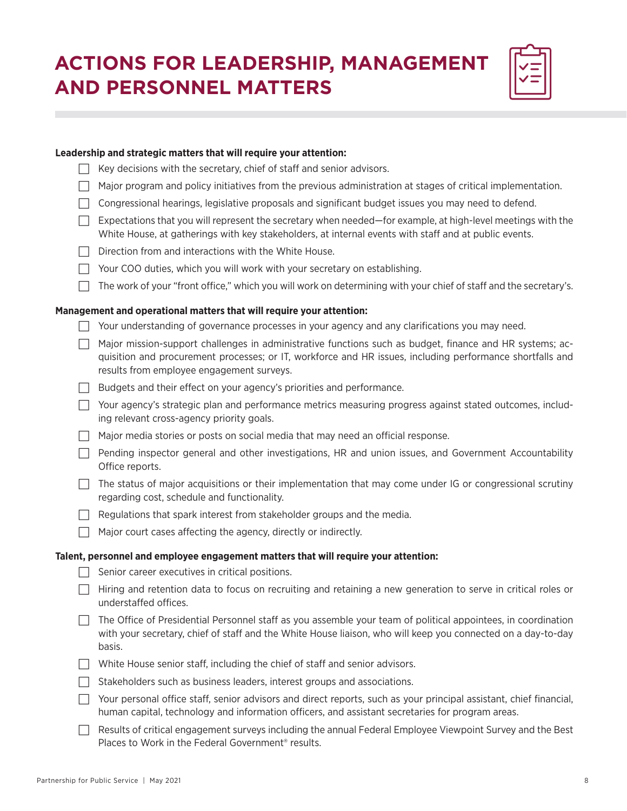# **ACTIONS FOR LEADERSHIP, MANAGEMENT AND PERSONNEL MATTERS**

|                                                                                     | Leadership and strategic matters that will require your attention:                                                                                                                                                                                                 |  |  |  |
|-------------------------------------------------------------------------------------|--------------------------------------------------------------------------------------------------------------------------------------------------------------------------------------------------------------------------------------------------------------------|--|--|--|
|                                                                                     | Key decisions with the secretary, chief of staff and senior advisors.                                                                                                                                                                                              |  |  |  |
|                                                                                     | Major program and policy initiatives from the previous administration at stages of critical implementation.                                                                                                                                                        |  |  |  |
|                                                                                     | Congressional hearings, legislative proposals and significant budget issues you may need to defend.                                                                                                                                                                |  |  |  |
|                                                                                     | Expectations that you will represent the secretary when needed—for example, at high-level meetings with the<br>White House, at gatherings with key stakeholders, at internal events with staff and at public events.                                               |  |  |  |
|                                                                                     | Direction from and interactions with the White House.                                                                                                                                                                                                              |  |  |  |
|                                                                                     | Your COO duties, which you will work with your secretary on establishing.                                                                                                                                                                                          |  |  |  |
|                                                                                     | The work of your "front office," which you will work on determining with your chief of staff and the secretary's.                                                                                                                                                  |  |  |  |
|                                                                                     | Management and operational matters that will require your attention:                                                                                                                                                                                               |  |  |  |
|                                                                                     | Your understanding of governance processes in your agency and any clarifications you may need.                                                                                                                                                                     |  |  |  |
|                                                                                     | Major mission-support challenges in administrative functions such as budget, finance and HR systems; ac-<br>quisition and procurement processes; or IT, workforce and HR issues, including performance shortfalls and<br>results from employee engagement surveys. |  |  |  |
|                                                                                     | Budgets and their effect on your agency's priorities and performance.                                                                                                                                                                                              |  |  |  |
|                                                                                     | Your agency's strategic plan and performance metrics measuring progress against stated outcomes, includ-<br>ing relevant cross-agency priority goals.                                                                                                              |  |  |  |
|                                                                                     | Major media stories or posts on social media that may need an official response.                                                                                                                                                                                   |  |  |  |
|                                                                                     | Pending inspector general and other investigations, HR and union issues, and Government Accountability<br>Office reports.                                                                                                                                          |  |  |  |
|                                                                                     | The status of major acquisitions or their implementation that may come under IG or congressional scrutiny<br>regarding cost, schedule and functionality.                                                                                                           |  |  |  |
|                                                                                     | Regulations that spark interest from stakeholder groups and the media.                                                                                                                                                                                             |  |  |  |
|                                                                                     | Major court cases affecting the agency, directly or indirectly.                                                                                                                                                                                                    |  |  |  |
| Talent, personnel and employee engagement matters that will require your attention: |                                                                                                                                                                                                                                                                    |  |  |  |
|                                                                                     | Senior career executives in critical positions.                                                                                                                                                                                                                    |  |  |  |
|                                                                                     | Hiring and retention data to focus on recruiting and retaining a new generation to serve in critical roles or<br>understaffed offices.                                                                                                                             |  |  |  |
|                                                                                     | The Office of Presidential Personnel staff as you assemble your team of political appointees, in coordination<br>with your secretary, chief of staff and the White House liaison, who will keep you connected on a day-to-day<br>basis.                            |  |  |  |
|                                                                                     | White House senior staff, including the chief of staff and senior advisors.                                                                                                                                                                                        |  |  |  |
|                                                                                     | Stakeholders such as business leaders, interest groups and associations.                                                                                                                                                                                           |  |  |  |
|                                                                                     | Your personal office staff, senior advisors and direct reports, such as your principal assistant, chief financial,<br>human capital, technology and information officers, and assistant secretaries for program areas.                                             |  |  |  |
|                                                                                     | Results of critical engagement surveys including the annual Federal Employee Viewpoint Survey and the Best<br>Places to Work in the Federal Government <sup>®</sup> results.                                                                                       |  |  |  |